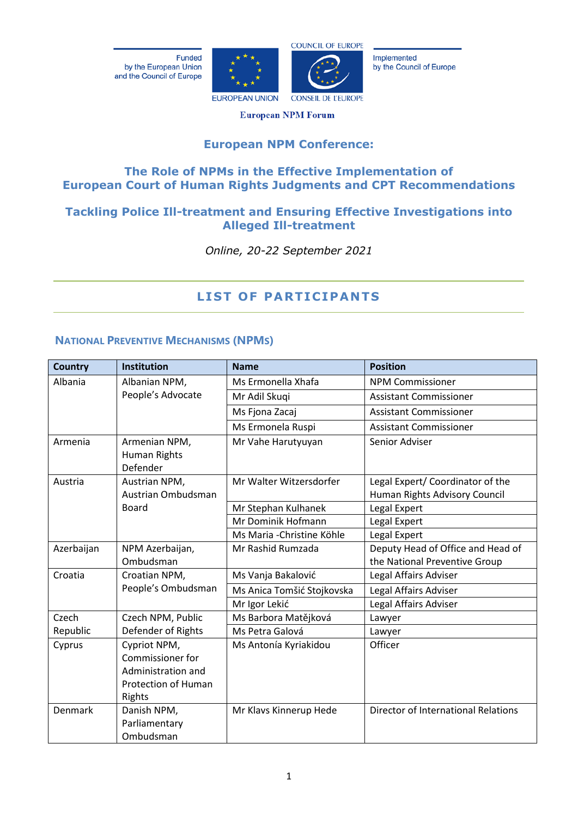Funded by the European Union and the Council of Europe





Implemented by the Council of Europe

**European NPM Forum** 

## **European NPM Conference:**

## **The Role of NPMs in the Effective Implementation of European Court of Human Rights Judgments and CPT Recommendations**

## **Tackling Police Ill-treatment and Ensuring Effective Investigations into Alleged Ill-treatment**

*Online, 20-22 September 2021*

# **LIST OF PARTICIPANTS**

### **NATIONAL PREVENTIVE MECHANISMS (NPMS)**

| <b>Country</b> | <b>Institution</b>                                                                             | <b>Name</b>                | <b>Position</b>                            |
|----------------|------------------------------------------------------------------------------------------------|----------------------------|--------------------------------------------|
| Albania        | Albanian NPM,                                                                                  | Ms Ermonella Xhafa         | <b>NPM Commissioner</b>                    |
|                | People's Advocate                                                                              | Mr Adil Skuqi              | <b>Assistant Commissioner</b>              |
|                |                                                                                                | Ms Fjona Zacaj             | <b>Assistant Commissioner</b>              |
|                |                                                                                                | Ms Ermonela Ruspi          | <b>Assistant Commissioner</b>              |
| Armenia        | Armenian NPM,<br><b>Human Rights</b><br>Defender                                               | Mr Vahe Harutyuyan         | Senior Adviser                             |
| Austria        | Austrian NPM,                                                                                  | Mr Walter Witzersdorfer    | Legal Expert/ Coordinator of the           |
|                | Austrian Ombudsman                                                                             |                            | Human Rights Advisory Council              |
|                | <b>Board</b>                                                                                   | Mr Stephan Kulhanek        | Legal Expert                               |
|                |                                                                                                | Mr Dominik Hofmann         | Legal Expert                               |
|                |                                                                                                | Ms Maria - Christine Köhle | Legal Expert                               |
| Azerbaijan     | NPM Azerbaijan,                                                                                | Mr Rashid Rumzada          | Deputy Head of Office and Head of          |
|                | Ombudsman                                                                                      |                            | the National Preventive Group              |
| Croatia        | Croatian NPM,                                                                                  | Ms Vanja Bakalović         | Legal Affairs Adviser                      |
|                | People's Ombudsman                                                                             | Ms Anica Tomšić Stojkovska | Legal Affairs Adviser                      |
|                |                                                                                                | Mr Igor Lekić              | Legal Affairs Adviser                      |
| Czech          | Czech NPM, Public                                                                              | Ms Barbora Matějková       | Lawyer                                     |
| Republic       | Defender of Rights                                                                             | Ms Petra Galová            | Lawyer                                     |
| Cyprus         | Cypriot NPM,<br><b>Commissioner for</b><br>Administration and<br>Protection of Human<br>Rights | Ms Antonía Kyriakidou      | Officer                                    |
| Denmark        | Danish NPM,<br>Parliamentary<br>Ombudsman                                                      | Mr Klavs Kinnerup Hede     | <b>Director of International Relations</b> |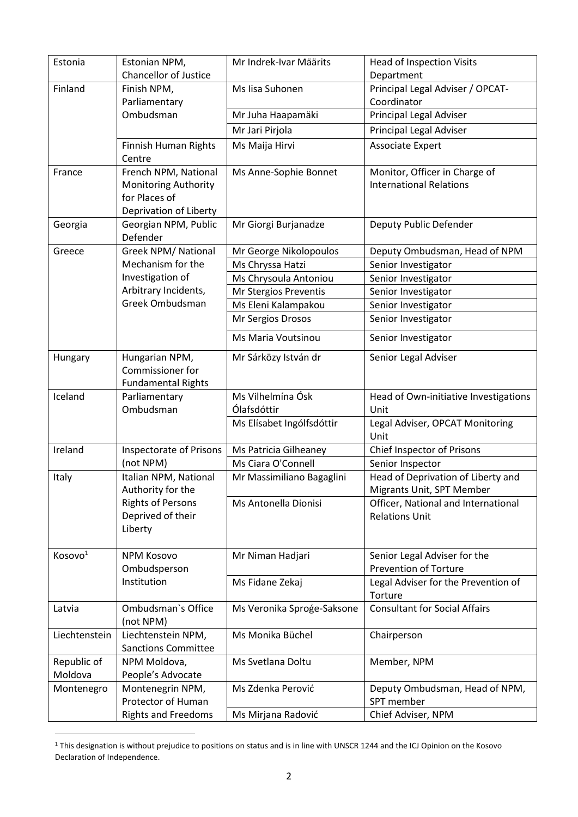| Estonia                | Estonian NPM,                              | Mr Indrek-Ivar Määrits     | <b>Head of Inspection Visits</b>                                |
|------------------------|--------------------------------------------|----------------------------|-----------------------------------------------------------------|
|                        | <b>Chancellor of Justice</b>               |                            | Department                                                      |
| Finland                | Finish NPM,                                | Ms lisa Suhonen            | Principal Legal Adviser / OPCAT-                                |
|                        | Parliamentary                              |                            | Coordinator                                                     |
|                        | Ombudsman                                  | Mr Juha Haapamäki          | Principal Legal Adviser                                         |
|                        |                                            | Mr Jari Pirjola            | Principal Legal Adviser                                         |
|                        | Finnish Human Rights                       | Ms Maija Hirvi             | <b>Associate Expert</b>                                         |
|                        | Centre                                     |                            |                                                                 |
| France                 | French NPM, National                       | Ms Anne-Sophie Bonnet      | Monitor, Officer in Charge of                                   |
|                        | <b>Monitoring Authority</b>                |                            | <b>International Relations</b>                                  |
|                        | for Places of                              |                            |                                                                 |
|                        | Deprivation of Liberty                     |                            |                                                                 |
| Georgia                | Georgian NPM, Public<br>Defender           | Mr Giorgi Burjanadze       | Deputy Public Defender                                          |
| Greece                 | Greek NPM/ National                        | Mr George Nikolopoulos     | Deputy Ombudsman, Head of NPM                                   |
|                        | Mechanism for the                          | Ms Chryssa Hatzi           | Senior Investigator                                             |
|                        | Investigation of                           | Ms Chrysoula Antoniou      | Senior Investigator                                             |
|                        | Arbitrary Incidents,                       | Mr Stergios Preventis      | Senior Investigator                                             |
|                        | Greek Ombudsman                            | Ms Eleni Kalampakou        | Senior Investigator                                             |
|                        |                                            | Mr Sergios Drosos          | Senior Investigator                                             |
|                        |                                            | Ms Maria Voutsinou         | Senior Investigator                                             |
| Hungary                | Hungarian NPM,<br>Commissioner for         | Mr Sárközy István dr       | Senior Legal Adviser                                            |
|                        | <b>Fundamental Rights</b>                  |                            |                                                                 |
| Iceland                | Parliamentary                              | Ms Vilhelmína Ósk          | Head of Own-initiative Investigations                           |
|                        | Ombudsman                                  | Ólafsdóttir                | Unit                                                            |
|                        |                                            | Ms Elísabet Ingólfsdóttir  | Legal Adviser, OPCAT Monitoring<br>Unit                         |
| Ireland                | Inspectorate of Prisons                    | Ms Patricia Gilheaney      | Chief Inspector of Prisons                                      |
|                        | (not NPM)                                  | Ms Ciara O'Connell         | Senior Inspector                                                |
| Italy                  | Italian NPM, National<br>Authority for the | Mr Massimiliano Bagaglini  | Head of Deprivation of Liberty and<br>Migrants Unit, SPT Member |
|                        | <b>Rights of Persons</b>                   | Ms Antonella Dionisi       | Officer, National and International                             |
|                        | Deprived of their                          |                            | <b>Relations Unit</b>                                           |
|                        | Liberty                                    |                            |                                                                 |
|                        |                                            |                            |                                                                 |
| Kosovo <sup>1</sup>    | <b>NPM Kosovo</b>                          | Mr Niman Hadjari           | Senior Legal Adviser for the                                    |
|                        | Ombudsperson                               |                            | <b>Prevention of Torture</b>                                    |
|                        | Institution                                | Ms Fidane Zekaj            | Legal Adviser for the Prevention of<br>Torture                  |
| Latvia                 | Ombudsman's Office                         | Ms Veronika Sproģe-Saksone | <b>Consultant for Social Affairs</b>                            |
|                        | (not NPM)                                  |                            |                                                                 |
| Liechtenstein          | Liechtenstein NPM,                         | Ms Monika Büchel           | Chairperson                                                     |
|                        | <b>Sanctions Committee</b>                 |                            |                                                                 |
| Republic of<br>Moldova | NPM Moldova,<br>People's Advocate          | Ms Svetlana Doltu          | Member, NPM                                                     |
| Montenegro             | Montenegrin NPM,                           | Ms Zdenka Perović          | Deputy Ombudsman, Head of NPM,                                  |
|                        | Protector of Human                         |                            | SPT member                                                      |
|                        | <b>Rights and Freedoms</b>                 | Ms Mirjana Radović         | Chief Adviser, NPM                                              |
|                        |                                            |                            |                                                                 |

<sup>1</sup> This designation is without prejudice to positions on status and is in line with UNSCR 1244 and the ICJ Opinion on the Kosovo Declaration of Independence.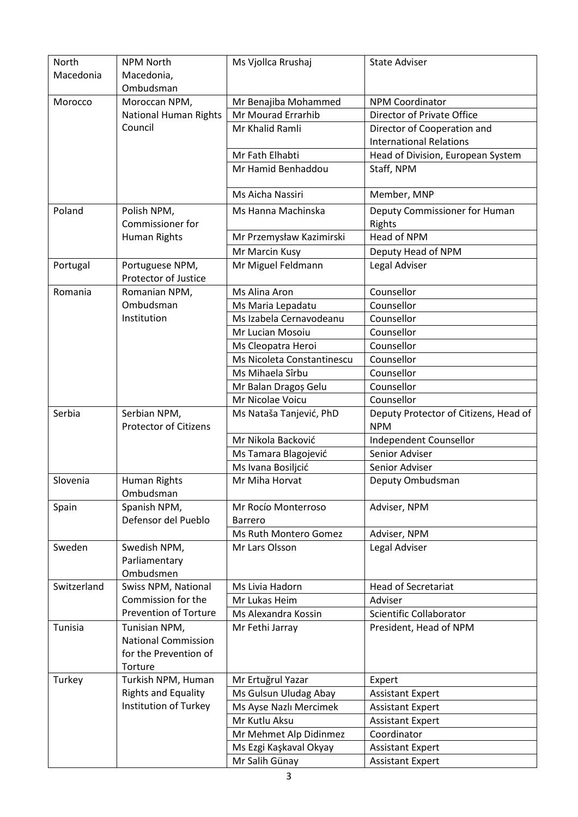| North<br>Macedonia | <b>NPM North</b><br>Macedonia,<br>Ombudsman                          | Ms Vjollca Rrushaj                    | <b>State Adviser</b>                                |
|--------------------|----------------------------------------------------------------------|---------------------------------------|-----------------------------------------------------|
| Morocco            | Moroccan NPM,                                                        | Mr Benajiba Mohammed                  | <b>NPM Coordinator</b>                              |
|                    | <b>National Human Rights</b>                                         | Mr Mourad Errarhib                    | Director of Private Office                          |
|                    | Council                                                              | Mr Khalid Ramli                       | Director of Cooperation and                         |
|                    |                                                                      |                                       | <b>International Relations</b>                      |
|                    |                                                                      | Mr Fath Elhabti                       | Head of Division, European System                   |
|                    |                                                                      | Mr Hamid Benhaddou                    | Staff, NPM                                          |
|                    |                                                                      | Ms Aicha Nassiri                      | Member, MNP                                         |
| Poland             | Polish NPM,<br><b>Commissioner for</b>                               | Ms Hanna Machinska                    | Deputy Commissioner for Human<br>Rights             |
|                    | <b>Human Rights</b>                                                  | Mr Przemysław Kazimirski              | Head of NPM                                         |
|                    |                                                                      | Mr Marcin Kusy                        | Deputy Head of NPM                                  |
| Portugal           | Portuguese NPM,                                                      | Mr Miguel Feldmann                    | Legal Adviser                                       |
|                    | Protector of Justice                                                 |                                       |                                                     |
| Romania            | Romanian NPM,                                                        | Ms Alina Aron                         | Counsellor                                          |
|                    | Ombudsman                                                            | Ms Maria Lepadatu                     | Counsellor                                          |
|                    | Institution                                                          | Ms Izabela Cernavodeanu               | Counsellor                                          |
|                    |                                                                      | Mr Lucian Mosoiu                      | Counsellor                                          |
|                    |                                                                      | Ms Cleopatra Heroi                    | Counsellor                                          |
|                    |                                                                      | Ms Nicoleta Constantinescu            | Counsellor                                          |
|                    |                                                                      | Ms Mihaela Sîrbu                      | Counsellor                                          |
|                    |                                                                      | Mr Balan Dragoș Gelu                  | Counsellor                                          |
|                    |                                                                      | Mr Nicolae Voicu                      | Counsellor                                          |
| Serbia             | Serbian NPM,<br><b>Protector of Citizens</b>                         | Ms Nataša Tanjević, PhD               | Deputy Protector of Citizens, Head of<br><b>NPM</b> |
|                    |                                                                      | Mr Nikola Backović                    | Independent Counsellor                              |
|                    |                                                                      | Ms Tamara Blagojević                  | Senior Adviser                                      |
|                    |                                                                      | Ms Ivana Bosiljcić                    | Senior Adviser                                      |
| Slovenia           | Human Rights<br>Ombudsman                                            | Mr Miha Horvat                        | Deputy Ombudsman                                    |
| Spain              | Spanish NPM,<br>Defensor del Pueblo                                  | Mr Rocío Monterroso<br><b>Barrero</b> | Adviser, NPM                                        |
|                    |                                                                      | Ms Ruth Montero Gomez                 | Adviser, NPM                                        |
| Sweden             | Swedish NPM,<br>Parliamentary<br>Ombudsmen                           | Mr Lars Olsson                        | Legal Adviser                                       |
| Switzerland        | Swiss NPM, National                                                  | Ms Livia Hadorn                       | <b>Head of Secretariat</b>                          |
|                    | Commission for the                                                   | Mr Lukas Heim                         | Adviser                                             |
|                    | <b>Prevention of Torture</b>                                         | Ms Alexandra Kossin                   | Scientific Collaborator                             |
| Tunisia            | Tunisian NPM,<br><b>National Commission</b><br>for the Prevention of | Mr Fethi Jarray                       | President, Head of NPM                              |
| Turkey             | Torture<br>Turkish NPM, Human                                        | Mr Ertuğrul Yazar                     | Expert                                              |
|                    | <b>Rights and Equality</b>                                           | Ms Gulsun Uludag Abay                 | <b>Assistant Expert</b>                             |
|                    | Institution of Turkey                                                | Ms Ayse Nazlı Mercimek                | <b>Assistant Expert</b>                             |
|                    |                                                                      | Mr Kutlu Aksu                         | <b>Assistant Expert</b>                             |
|                    |                                                                      | Mr Mehmet Alp Didinmez                | Coordinator                                         |
|                    |                                                                      | Ms Ezgi Kaşkaval Okyay                | <b>Assistant Expert</b>                             |
|                    |                                                                      | Mr Salih Günay                        | <b>Assistant Expert</b>                             |
|                    |                                                                      |                                       |                                                     |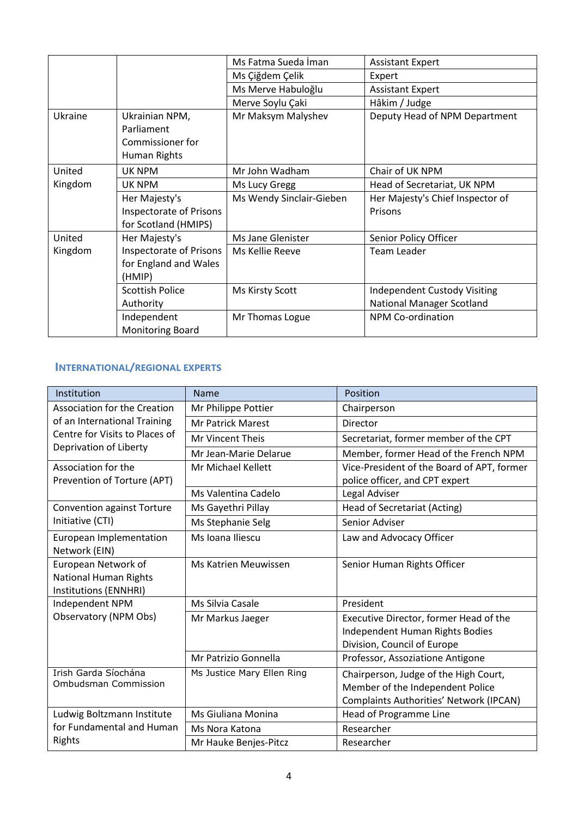|         |                                                                  | Ms Fatma Sueda İman      | <b>Assistant Expert</b>                     |
|---------|------------------------------------------------------------------|--------------------------|---------------------------------------------|
|         |                                                                  | Ms Çiğdem Çelik          | Expert                                      |
|         |                                                                  | Ms Merve Habuloğlu       | <b>Assistant Expert</b>                     |
|         |                                                                  | Merve Soylu Çaki         | Hâkim / Judge                               |
| Ukraine | Ukrainian NPM,<br>Parliament<br>Commissioner for<br>Human Rights | Mr Maksym Malyshev       | Deputy Head of NPM Department               |
| United  | UK NPM                                                           | Mr John Wadham           | Chair of UK NPM                             |
| Kingdom | UK NPM                                                           | Ms Lucy Gregg            | Head of Secretariat, UK NPM                 |
|         | Her Majesty's<br>Inspectorate of Prisons<br>for Scotland (HMIPS) | Ms Wendy Sinclair-Gieben | Her Majesty's Chief Inspector of<br>Prisons |
| United  | Her Majesty's                                                    | Ms Jane Glenister        | Senior Policy Officer                       |
| Kingdom | Inspectorate of Prisons<br>for England and Wales<br>(HMIP)       | Ms Kellie Reeve          | Team Leader                                 |
|         | <b>Scottish Police</b>                                           | Ms Kirsty Scott          | <b>Independent Custody Visiting</b>         |
|         | Authority                                                        |                          | <b>National Manager Scotland</b>            |
|         | Independent<br><b>Monitoring Board</b>                           | Mr Thomas Logue          | <b>NPM Co-ordination</b>                    |

### **INTERNATIONAL/REGIONAL EXPERTS**

| Institution                              | <b>Name</b>                | Position                                   |
|------------------------------------------|----------------------------|--------------------------------------------|
| <b>Association for the Creation</b>      | Mr Philippe Pottier        | Chairperson                                |
| of an International Training             | <b>Mr Patrick Marest</b>   | Director                                   |
| Centre for Visits to Places of           | Mr Vincent Theis           | Secretariat, former member of the CPT      |
| Deprivation of Liberty                   | Mr Jean-Marie Delarue      | Member, former Head of the French NPM      |
| Association for the                      | Mr Michael Kellett         | Vice-President of the Board of APT, former |
| Prevention of Torture (APT)              |                            | police officer, and CPT expert             |
|                                          | Ms Valentina Cadelo        | Legal Adviser                              |
| Convention against Torture               | Ms Gayethri Pillay         | Head of Secretariat (Acting)               |
| Initiative (CTI)                         | Ms Stephanie Selg          | Senior Adviser                             |
| European Implementation<br>Network (EIN) | Ms Ioana Iliescu           | Law and Advocacy Officer                   |
| European Network of                      | Ms Katrien Meuwissen       | Senior Human Rights Officer                |
| <b>National Human Rights</b>             |                            |                                            |
| Institutions (ENNHRI)                    | Ms Silvia Casale           | President                                  |
| Independent NPM                          |                            |                                            |
| Observatory (NPM Obs)                    | Mr Markus Jaeger           | Executive Director, former Head of the     |
|                                          |                            | Independent Human Rights Bodies            |
|                                          |                            | Division, Council of Europe                |
|                                          | Mr Patrizio Gonnella       | Professor, Assoziatione Antigone           |
| Irish Garda Síochána                     | Ms Justice Mary Ellen Ring | Chairperson, Judge of the High Court,      |
| <b>Ombudsman Commission</b>              |                            | Member of the Independent Police           |
|                                          |                            | Complaints Authorities' Network (IPCAN)    |
| Ludwig Boltzmann Institute               | Ms Giuliana Monina         | Head of Programme Line                     |
| for Fundamental and Human                | Ms Nora Katona             | Researcher                                 |
| Rights                                   | Mr Hauke Benjes-Pitcz      | Researcher                                 |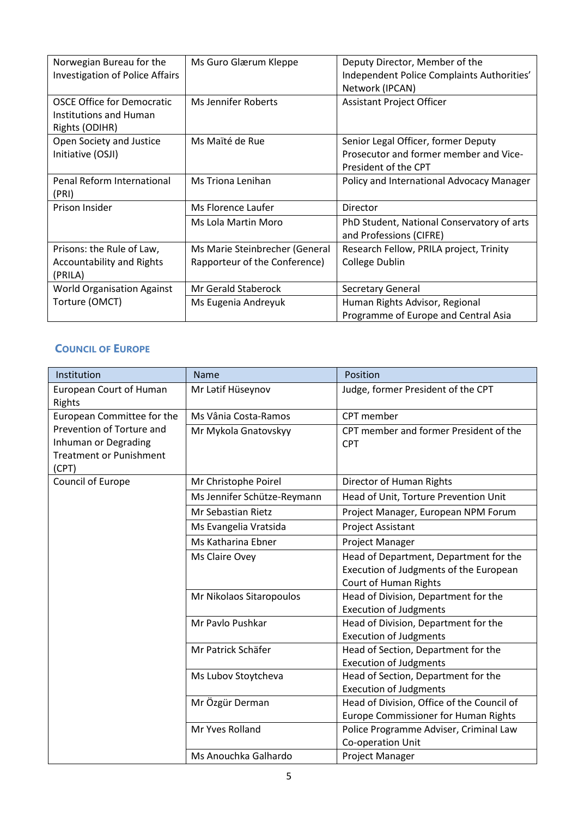| Norwegian Bureau for the<br><b>Investigation of Police Affairs</b>            | Ms Guro Glærum Kleppe          | Deputy Director, Member of the<br>Independent Police Complaints Authorities'<br>Network (IPCAN) |
|-------------------------------------------------------------------------------|--------------------------------|-------------------------------------------------------------------------------------------------|
| <b>OSCE Office for Democratic</b><br>Institutions and Human<br>Rights (ODIHR) | Ms Jennifer Roberts            | <b>Assistant Project Officer</b>                                                                |
| Open Society and Justice                                                      | Ms Maïté de Rue                | Senior Legal Officer, former Deputy                                                             |
| Initiative (OSJI)                                                             |                                | Prosecutor and former member and Vice-                                                          |
|                                                                               |                                | President of the CPT                                                                            |
| Penal Reform International                                                    | Ms Triona Lenihan              | Policy and International Advocacy Manager                                                       |
| (PRI)                                                                         |                                |                                                                                                 |
| Prison Insider                                                                | Ms Florence Laufer             | Director                                                                                        |
|                                                                               | Ms Lola Martin Moro            | PhD Student, National Conservatory of arts                                                      |
|                                                                               |                                | and Professions (CIFRE)                                                                         |
| Prisons: the Rule of Law,                                                     | Ms Marie Steinbrecher (General | Research Fellow, PRILA project, Trinity                                                         |
| <b>Accountability and Rights</b>                                              | Rapporteur of the Conference)  | College Dublin                                                                                  |
| (PRILA)                                                                       |                                |                                                                                                 |
| <b>World Organisation Against</b>                                             | Mr Gerald Staberock            | <b>Secretary General</b>                                                                        |
| Torture (OMCT)                                                                | Ms Eugenia Andreyuk            | Human Rights Advisor, Regional                                                                  |
|                                                                               |                                | Programme of Europe and Central Asia                                                            |

## **COUNCIL OF EUROPE**

| Institution                              | Name                        | Position                                    |
|------------------------------------------|-----------------------------|---------------------------------------------|
| <b>European Court of Human</b><br>Rights | Mr Latif Hüseynov           | Judge, former President of the CPT          |
| European Committee for the               | Ms Vânia Costa-Ramos        | CPT member                                  |
| Prevention of Torture and                | Mr Mykola Gnatovskyy        | CPT member and former President of the      |
| Inhuman or Degrading                     |                             | <b>CPT</b>                                  |
| <b>Treatment or Punishment</b>           |                             |                                             |
| (CPT)                                    |                             |                                             |
| Council of Europe                        | Mr Christophe Poirel        | Director of Human Rights                    |
|                                          | Ms Jennifer Schütze-Reymann | Head of Unit, Torture Prevention Unit       |
|                                          | Mr Sebastian Rietz          | Project Manager, European NPM Forum         |
|                                          | Ms Evangelia Vratsida       | Project Assistant                           |
|                                          | Ms Katharina Ebner          | Project Manager                             |
|                                          | Ms Claire Ovey              | Head of Department, Department for the      |
|                                          |                             | Execution of Judgments of the European      |
|                                          |                             | Court of Human Rights                       |
|                                          | Mr Nikolaos Sitaropoulos    | Head of Division, Department for the        |
|                                          |                             | <b>Execution of Judgments</b>               |
|                                          | Mr Pavlo Pushkar            | Head of Division, Department for the        |
|                                          |                             | <b>Execution of Judgments</b>               |
|                                          | Mr Patrick Schäfer          | Head of Section, Department for the         |
|                                          |                             | <b>Execution of Judgments</b>               |
|                                          | Ms Lubov Stoytcheva         | Head of Section, Department for the         |
|                                          |                             | <b>Execution of Judgments</b>               |
|                                          | Mr Özgür Derman             | Head of Division, Office of the Council of  |
|                                          |                             | <b>Europe Commissioner for Human Rights</b> |
|                                          | Mr Yves Rolland             | Police Programme Adviser, Criminal Law      |
|                                          |                             | Co-operation Unit                           |
|                                          | Ms Anouchka Galhardo        | Project Manager                             |